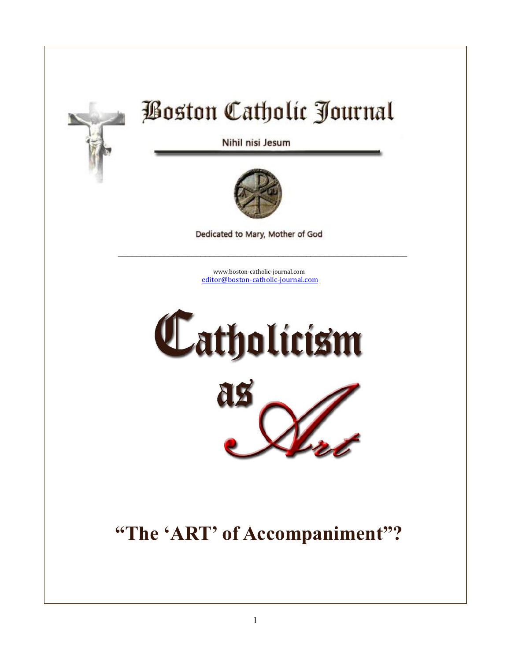

# **Boston Catholic Journal**

Nihil nisi Jesum



Dedicated to Mary, Mother of God

 $\mathcal{L}_\text{max}$  and  $\mathcal{L}_\text{max}$  and  $\mathcal{L}_\text{max}$  and  $\mathcal{L}_\text{max}$  and  $\mathcal{L}_\text{max}$  and  $\mathcal{L}_\text{max}$ 

[www.boston-catholic-journal.com](http://www.boston-catholic-journal.com/) [editor@boston-catholic-journal.com](mailto:editor@boston-catholic-journal.com)





# **"The 'ART' of Accompaniment"?**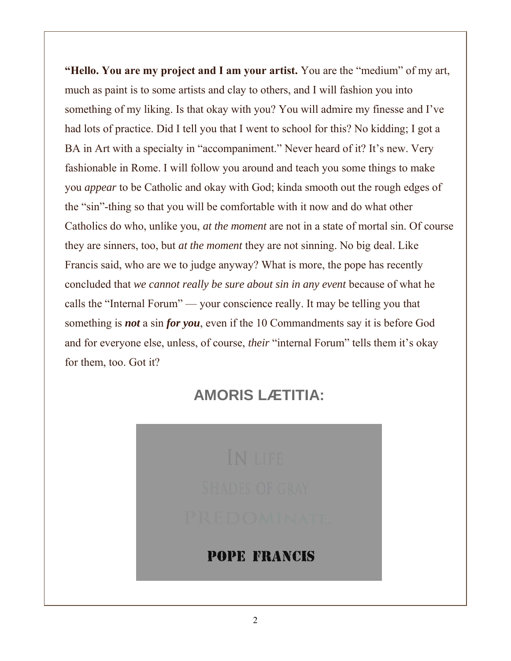**"Hello. You are my project and I am your artist.** You are the "medium" of my art, much as paint is to some artists and clay to others, and I will fashion you into something of my liking. Is that okay with you? You will admire my finesse and I've had lots of practice. Did I tell you that I went to school for this? No kidding; I got a BA in Art with a specialty in "accompaniment." Never heard of it? It's new. Very fashionable in Rome. I will follow you around and teach you some things to make you *appear* to be Catholic and okay with God; kinda smooth out the rough edges of the "sin"-thing so that you will be comfortable with it now and do what other Catholics do who, unlike you, *at the moment* are not in a state of mortal sin. Of course they are sinners, too, but *at the moment* they are not sinning. No big deal. Like Francis said, who are we to judge anyway? What is more, the pope has recently concluded that *we cannot really be sure about sin in any event* because of what he calls the "Internal Forum" — your conscience really. It may be telling you that something is *not* a sin *for you*, even if the 10 Commandments say it is before God and for everyone else, unless, of course, *their* "internal Forum" tells them it's okay for them, too. Got it?

## **AMORIS LÆTITIA:**



#### **POPE FRANCIS**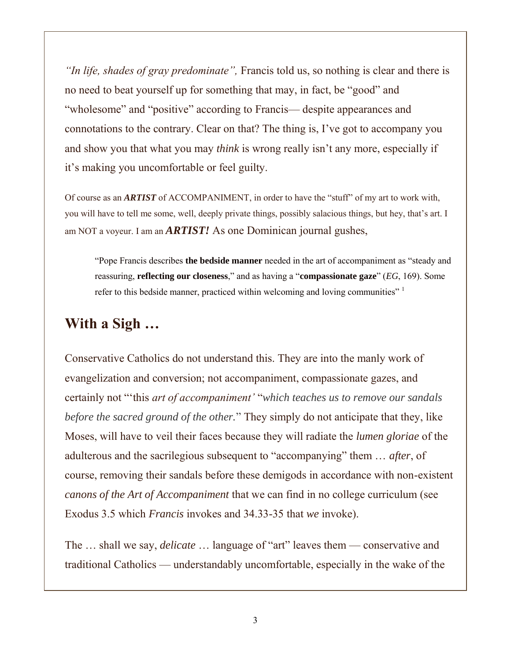*"In life, shades of gray predominate",* Francis told us, so nothing is clear and there is no need to beat yourself up for something that may, in fact, be "good" and "wholesome" and "positive" according to Francis— despite appearances and connotations to the contrary. Clear on that? The thing is, I've got to accompany you and show you that what you may *think* is wrong really isn't any more, especially if it's making you uncomfortable or feel guilty.

Of course as an *ARTIST* of ACCOMPANIMENT, in order to have the "stuff" of my art to work with, you will have to tell me some, well, deeply private things, possibly salacious things, but hey, that's art. I am NOT a voyeur. I am an *ARTIST!* As one Dominican journal gushes,

"Pope Francis describes **the bedside manner** needed in the art of accompaniment as "steady and reassuring, **reflecting our closeness**," and as having a "**compassionate gaze**" (*EG*, 169). Some refer to this bedside manner, practiced within welcoming and loving communities" <sup>1</sup>

### **With a Sigh …**

Conservative Catholics do not understand this. They are into the manly work of evangelization and conversion; not accompaniment, compassionate gazes, and certainly not "'this *art of accompaniment'* "*which teaches us to remove our sandals before the sacred ground of the other.*" They simply do not anticipate that they, like Moses, will have to veil their faces because they will radiate the *lumen gloriae* of the adulterous and the sacrilegious subsequent to "accompanying" them … *after*, of course, removing their sandals before these demigods in accordance with non-existent *canons of the Art of Accompaniment* that we can find in no college curriculum (see Exodus 3.5 which *Francis* invokes and 34.33-35 that *we* invoke).

The … shall we say, *delicate* … language of "art" leaves them — conservative and traditional Catholics — understandably uncomfortable, especially in the wake of the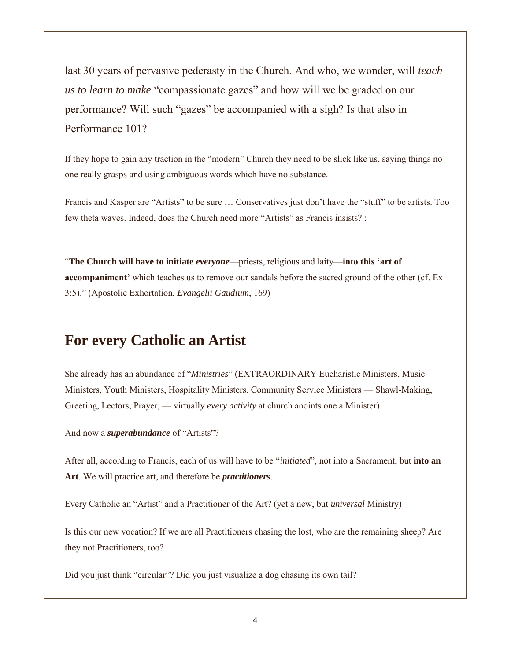last 30 years of pervasive pederasty in the Church. And who, we wonder, will *teach us to learn to make* "compassionate gazes" and how will we be graded on our performance? Will such "gazes" be accompanied with a sigh? Is that also in Performance 101?

If they hope to gain any traction in the "modern" Church they need to be slick like us, saying things no one really grasps and using ambiguous words which have no substance.

Francis and Kasper are "Artists" to be sure … Conservatives just don't have the "stuff" to be artists. Too few theta waves. Indeed, does the Church need more "Artists" as Francis insists? :

"**The Church will have to initiate** *everyone*—priests, religious and laity—**into this 'art of accompaniment'** which teaches us to remove our sandals before the sacred ground of the other (cf. Ex 3:5)." (Apostolic Exhortation, *Evangelii Gaudium*, 169)

#### **For every Catholic an Artist**

She already has an abundance of "*Ministries*" (EXTRAORDINARY Eucharistic Ministers, Music Ministers, Youth Ministers, Hospitality Ministers, Community Service Ministers — Shawl-Making, Greeting, Lectors, Prayer, — virtually *every activity* at church anoints one a Minister).

And now a *superabundance* of "Artists"?

After all, according to Francis, each of us will have to be "*initiated*", not into a Sacrament, but **into an Art**. We will practice art, and therefore be *practitioners*.

Every Catholic an "Artist" and a Practitioner of the Art? (yet a new, but *universal* Ministry)

Is this our new vocation? If we are all Practitioners chasing the lost, who are the remaining sheep? Are they not Practitioners, too?

Did you just think "circular"? Did you just visualize a dog chasing its own tail?